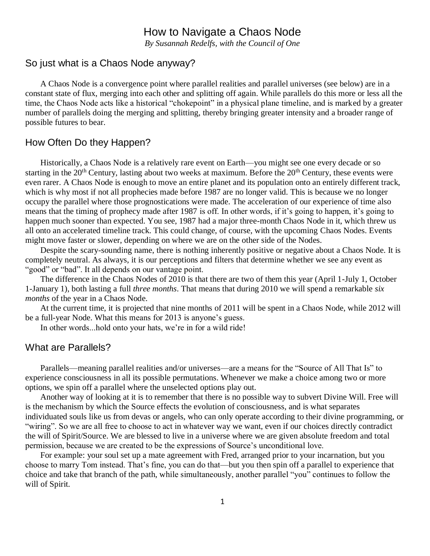## How to Navigate a Chaos Node

*By Susannah Redelfs, with the Council of One*

### So just what is a Chaos Node anyway?

A Chaos Node is a convergence point where parallel realities and parallel universes (see below) are in a constant state of flux, merging into each other and splitting off again. While parallels do this more or less all the time, the Chaos Node acts like a historical "chokepoint" in a physical plane timeline, and is marked by a greater number of parallels doing the merging and splitting, thereby bringing greater intensity and a broader range of possible futures to bear.

#### How Often Do they Happen?

Historically, a Chaos Node is a relatively rare event on Earth—you might see one every decade or so starting in the 20<sup>th</sup> Century, lasting about two weeks at maximum. Before the 20<sup>th</sup> Century, these events were even rarer. A Chaos Node is enough to move an entire planet and its population onto an entirely different track, which is why most if not all prophecies made before 1987 are no longer valid. This is because we no longer occupy the parallel where those prognostications were made. The acceleration of our experience of time also means that the timing of prophecy made after 1987 is off. In other words, if it's going to happen, it's going to happen much sooner than expected. You see, 1987 had a major three-month Chaos Node in it, which threw us all onto an accelerated timeline track. This could change, of course, with the upcoming Chaos Nodes. Events might move faster or slower, depending on where we are on the other side of the Nodes.

Despite the scary-sounding name, there is nothing inherently positive or negative about a Chaos Node. It is completely neutral. As always, it is our perceptions and filters that determine whether we see any event as "good" or "bad". It all depends on our vantage point.

The difference in the Chaos Nodes of 2010 is that there are two of them this year (April 1-July 1, October 1-January 1), both lasting a full *three months*. That means that during 2010 we will spend a remarkable *six months* of the year in a Chaos Node.

At the current time, it is projected that nine months of 2011 will be spent in a Chaos Node, while 2012 will be a full-year Node. What this means for 2013 is anyone's guess.

In other words...hold onto your hats, we're in for a wild ride!

### What are Parallels?

Parallels—meaning parallel realities and/or universes—are a means for the "Source of All That Is" to experience consciousness in all its possible permutations. Whenever we make a choice among two or more options, we spin off a parallel where the unselected options play out.

Another way of looking at it is to remember that there is no possible way to subvert Divine Will. Free will is the mechanism by which the Source effects the evolution of consciousness, and is what separates individuated souls like us from devas or angels, who can only operate according to their divine programming, or "wiring". So we are all free to choose to act in whatever way we want, even if our choices directly contradict the will of Spirit/Source. We are blessed to live in a universe where we are given absolute freedom and total permission, because we are created to be the expressions of Source's unconditional love.

For example: your soul set up a mate agreement with Fred, arranged prior to your incarnation, but you choose to marry Tom instead. That's fine, you can do that—but you then spin off a parallel to experience that choice and take that branch of the path, while simultaneously, another parallel "you" continues to follow the will of Spirit.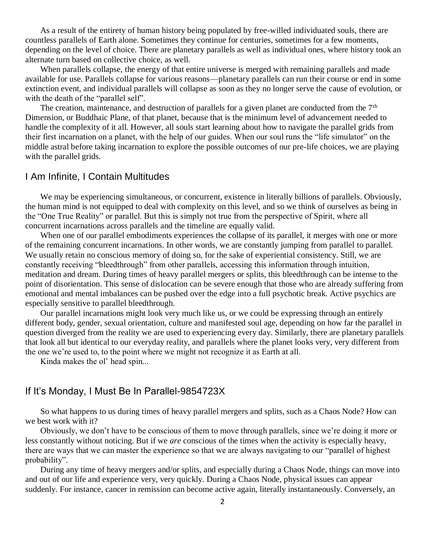As a result of the entirety of human history being populated by free-willed individuated souls, there are countless parallels of Earth alone. Sometimes they continue for centuries, sometimes for a few moments, depending on the level of choice. There are planetary parallels as well as individual ones, where history took an alternate turn based on collective choice, as well.

When parallels collapse, the energy of that entire universe is merged with remaining parallels and made available for use. Parallels collapse for various reasons—planetary parallels can run their course or end in some extinction event, and individual parallels will collapse as soon as they no longer serve the cause of evolution, or with the death of the "parallel self".

The creation, maintenance, and destruction of parallels for a given planet are conducted from the  $7<sup>th</sup>$ Dimension, or Buddhaic Plane, of that planet, because that is the minimum level of advancement needed to handle the complexity of it all. However, all souls start learning about how to navigate the parallel grids from their first incarnation on a planet, with the help of our guides. When our soul runs the "life simulator" on the middle astral before taking incarnation to explore the possible outcomes of our pre-life choices, we are playing with the parallel grids.

### I Am Infinite, I Contain Multitudes

We may be experiencing simultaneous, or concurrent, existence in literally billions of parallels. Obviously, the human mind is not equipped to deal with complexity on this level, and so we think of ourselves as being in the "One True Reality" or parallel. But this is simply not true from the perspective of Spirit, where all concurrent incarnations across parallels and the timeline are equally valid.

When one of our parallel embodiments experiences the collapse of its parallel, it merges with one or more of the remaining concurrent incarnations. In other words, we are constantly jumping from parallel to parallel. We usually retain no conscious memory of doing so, for the sake of experiential consistency. Still, we are constantly receiving "bleedthrough" from other parallels, accessing this information through intuition, meditation and dream. During times of heavy parallel mergers or splits, this bleedthrough can be intense to the point of disorientation. This sense of dislocation can be severe enough that those who are already suffering from emotional and mental imbalances can be pushed over the edge into a full psychotic break. Active psychics are especially sensitive to parallel bleedthrough.

Our parallel incarnations might look very much like us, or we could be expressing through an entirely different body, gender, sexual orientation, culture and manifested soul age, depending on how far the parallel in question diverged from the reality we are used to experiencing every day. Similarly, there are planetary parallels that look all but identical to our everyday reality, and parallels where the planet looks very, very different from the one we're used to, to the point where we might not recognize it as Earth at all.

Kinda makes the ol' head spin...

## If It's Monday, I Must Be In Parallel-9854723X

So what happens to us during times of heavy parallel mergers and splits, such as a Chaos Node? How can we best work with it?

Obviously, we don't have to be conscious of them to move through parallels, since we're doing it more or less constantly without noticing. But if we *are* conscious of the times when the activity is especially heavy, there are ways that we can master the experience so that we are always navigating to our "parallel of highest probability".

During any time of heavy mergers and/or splits, and especially during a Chaos Node, things can move into and out of our life and experience very, very quickly. During a Chaos Node, physical issues can appear suddenly. For instance, cancer in remission can become active again, literally instantaneously. Conversely, an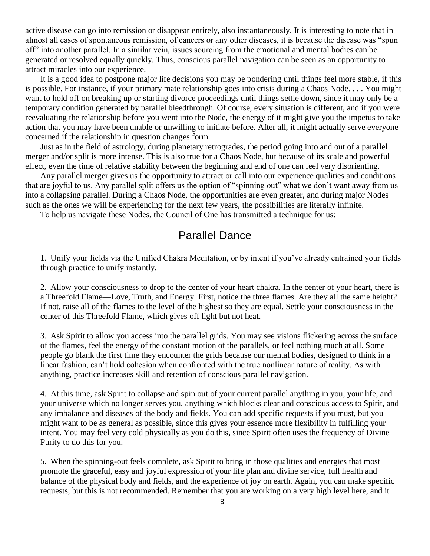active disease can go into remission or disappear entirely, also instantaneously. It is interesting to note that in almost all cases of spontaneous remission, of cancers or any other diseases, it is because the disease was "spun off" into another parallel. In a similar vein, issues sourcing from the emotional and mental bodies can be generated or resolved equally quickly. Thus, conscious parallel navigation can be seen as an opportunity to attract miracles into our experience.

It is a good idea to postpone major life decisions you may be pondering until things feel more stable, if this is possible. For instance, if your primary mate relationship goes into crisis during a Chaos Node. . . . You might want to hold off on breaking up or starting divorce proceedings until things settle down, since it may only be a temporary condition generated by parallel bleedthrough. Of course, every situation is different, and if you were reevaluating the relationship before you went into the Node, the energy of it might give you the impetus to take action that you may have been unable or unwilling to initiate before. After all, it might actually serve everyone concerned if the relationship in question changes form.

Just as in the field of astrology, during planetary retrogrades, the period going into and out of a parallel merger and/or split is more intense. This is also true for a Chaos Node, but because of its scale and powerful effect, even the time of relative stability between the beginning and end of one can feel very disorienting.

Any parallel merger gives us the opportunity to attract or call into our experience qualities and conditions that are joyful to us. Any parallel split offers us the option of "spinning out" what we don't want away from us into a collapsing parallel. During a Chaos Node, the opportunities are even greater, and during major Nodes such as the ones we will be experiencing for the next few years, the possibilities are literally infinite.

To help us navigate these Nodes, the Council of One has transmitted a technique for us:

# Parallel Dance

1. Unify your fields via the Unified Chakra Meditation, or by intent if you've already entrained your fields through practice to unify instantly.

2. Allow your consciousness to drop to the center of your heart chakra. In the center of your heart, there is a Threefold Flame—Love, Truth, and Energy. First, notice the three flames. Are they all the same height? If not, raise all of the flames to the level of the highest so they are equal. Settle your consciousness in the center of this Threefold Flame, which gives off light but not heat.

3. Ask Spirit to allow you access into the parallel grids. You may see visions flickering across the surface of the flames, feel the energy of the constant motion of the parallels, or feel nothing much at all. Some people go blank the first time they encounter the grids because our mental bodies, designed to think in a linear fashion, can't hold cohesion when confronted with the true nonlinear nature of reality. As with anything, practice increases skill and retention of conscious parallel navigation.

4. At this time, ask Spirit to collapse and spin out of your current parallel anything in you, your life, and your universe which no longer serves you, anything which blocks clear and conscious access to Spirit, and any imbalance and diseases of the body and fields. You can add specific requests if you must, but you might want to be as general as possible, since this gives your essence more flexibility in fulfilling your intent. You may feel very cold physically as you do this, since Spirit often uses the frequency of Divine Purity to do this for you.

5. When the spinning-out feels complete, ask Spirit to bring in those qualities and energies that most promote the graceful, easy and joyful expression of your life plan and divine service, full health and balance of the physical body and fields, and the experience of joy on earth. Again, you can make specific requests, but this is not recommended. Remember that you are working on a very high level here, and it